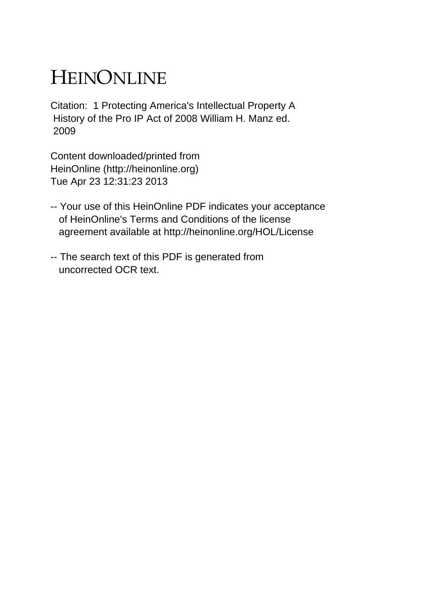# HEINONLINE

Citation: 1 Protecting America's Intellectual Property A History of the Pro IP Act of 2008 William H. Manz ed. 2009

Content downloaded/printed from HeinOnline (http://heinonline.org) Tue Apr 23 12:31:23 2013

- -- Your use of this HeinOnline PDF indicates your acceptance of HeinOnline's Terms and Conditions of the license agreement available at http://heinonline.org/HOL/License
- -- The search text of this PDF is generated from uncorrected OCR text.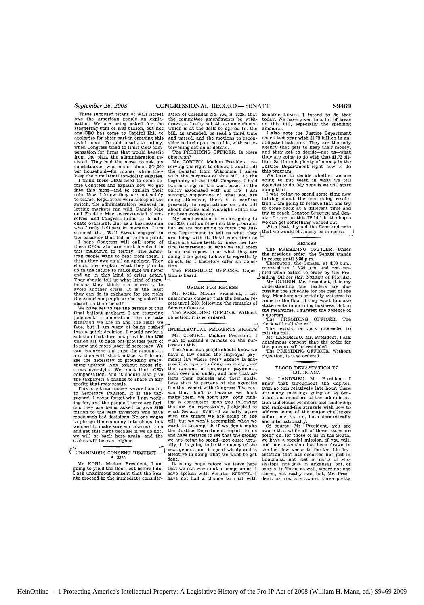owe the American people an expla- the committee amendments be with- today. We have given in a lot of areas nation. We are being asked for the drawn, a Leahy substitute amendment on this bill, especially the spending apologize for their part in creating this and passed, and the motions to recon- ended last year with \$1.72 billion in unawful mess. To add insult to injury, sider be laid upon the table, with no in- obligated balances. They are the only<br>when Congress tried to limit CEO com- tervening action or debate.<br>pensation for firms that would benefit from the plan, the administration re- objection? they are going to do with that **\$1.72** bil-sisted. They had the nerve to ask my Mr, COBURN. Madam President, re- lion. So there is plenty of money in the constituents-who make about \$48,000 serving the right to object. The lines are going to do with that \$1.72 bil-<br>sized. They had the nerve to ask my Mr. COBURN. Madam President, re- lion. So there is plenty of money in the<br>

I think these CEOs need to come be-<br>beginning of the 109th Congress, I held going to put teeth in what we tell<br>fore Congress and explain how we got two hearings on the west coast on the agencies to do. My hope is we will s role. Now, I know they are not solely strongly supportive of what you are I was going to spend some time now<br>to blame. Regulators were asleep at the doing. However, there is a conflict talking about the continuing resolu<br>s letting markets run wild, Fannie Mae about metrics and oversight which has to come back at a different time and and Freddie Mac overextended them- not been worked out. try to reach Senator SPECTER and Sensection, and Freddie Mac overlap about metrics and oversight which has to come back at a different time and Freddie Mac overstehed them- not been worked out.<br>It is we are going to ator LEAHY on this IP bill in the hopes sa serves, and congress name to do adden pute oversight. But as a businessman who firmly believes in markets, I am stunned that Wall Street engaged in

about also explain what they plan to tion.<br>
should also explain what they plan to tion.<br>
about also explain what they plan to tion.<br>
do in the future to make sure we never The PRESIDING OFFICER. Objection is because the pr they can do in exchange for the risks Mr. KOHL. Madam President, I ask day. They should tell us what kind of regu-<br>
Mr. DURBR FOR RECESS MICHATED MICRISHING THE RIGHAL IN EXCHANGE THE RIGHAL CONDER FOR RECESS<br>
are certainl the American people are being asked to unanimous consent that the Senate re-<br>absorb on their behalf. cess until 5:30, following the remarks of

situation we are in and the risks we<br>
a clerk will call the oil.<br>
The legislative clerk proceeded to the last of the set of the last of the last of the last of the last of the<br>
into a quick decision. I would prefer a<br>
into stuation we are in and the risks we are solution of being runshed<br>[ $\overline{N}$ TELLECTUAL PROPERTY RIGHTS The legislative clerk proceeded to<br>into a quick decision. I would prefer a<br>into a quick decision. I was LANDRIEU. Mr. P billion all at once but provides part of wish to expand a minute on the pur-<br>it now and more later, if necessary. We poses of this.<br>the outprum call be rescinded. can reconvene and raise the amount at The American people should know we the quorum call be rescinded.<br>Can reconvene and raise the amount at The American people should know we The PRESIDING OFFICER. Without<br>any time with s see the necessity of providing every- ments law where every agency is sup-<br>thing upfront. Any bailout needs rig- posed to report to Congress every *year* 

made such bad decisions. No one wants with the things we are doing in the to plunge the economy into chaos, but bill, but we won't accomplish what we and to meet we are we take our time want to accomplish if we don't make

These supposed titans of Wall Street ation of Calendar No. 964, S. 3325; that Senator LEAHY. I intend to do that drawn, a Leahy substitute amendment on this bill, especially the spending which is at the desk be agreed to, the amounts.<br>
bill, as amonded, be read a third time I also note the Justice Department and passed, and the moti

per household-for money while they the Senator from Wisconsin I agree this program.<br>per household-for money while they the Senator from Wisconsin I agree this program.<br>Reep their multimillion-dollar salaries. with the purp

who million plus into this program, we can go to  $\mu$  and the summark source the but we are not going to force the Jus- With that, I yield the floor and note but we are not going to force the Jus- With that, I yield the f who firmly believes in markets, I am but we are not going to force the Jus-<br>stunned that Wall Street engaged in tice Department to tell us what they it hat we would obviously be in recess.<br>the behavior that led us to this this meltdown to testify. The Amer- to do and report to us what they are the PRESIDING OFFICER. Under the senate that the previous order, the Senate stands than the bear of the Senate stands that the senate stands that th

I I am FILM CONTROLLER. Without a quorum.<br>https://without.objection, it is so ordered. The PRESIDING OFFICER. The

any time minimized the improper pay-<br>ments law vehere every agency is supanna approximation and the same of improper payments, FLOOD DEVASTATION IN and the must limit CEO the amount of improper payments, FLOOD DEVASTATION IN and it should also give both over and under, and how that af-<br>compensa compensation, and it should also give both over and under, and how that af-<br>the taxpayers a chance to share in any fects their budgets and their goals.<br>profits that may result.<br>This is not our money we are handing file tha the taxpayers a chance to share in any fects their budgets and their goals. Ms. LANDRIEU. Mr. President, I confluence that report with congress. The rea- even at this relatively late hour, there This is not our money we ar to Secretary Paulson. It is the tax- son they don't is because we don't are many meetings going on as Sen<br>payers'. I never forget who I am work- make them. We don't say: Your fund- ators and members of the administra<br>ing f ous they are being asked to give \$700 the law. So, regrettably, I objected to and rank-and-file struggle with how to<br>billion to the very investors who have what Senator KOHL—I actually agree address some of the major chall we need to make sure we take our time want to accomplish if we don't make Of course, Mr. President, you are<br>and get this right because if we do not, the Justice Department report to us aware that while all of these issues we will be back here again, and the and have metrics to see that the money going on, for those of us in the South<br>stakes will be even higher.<br>ally, it is going to spend—not ours; actu- we have a special mission, if you wil

going to yield the floor, but before I do, that we can work out a compromise. I course, in Texas as well, where not one<br>I ask unanimous consent that the Sen-have spoken with Senator SPECTER. I storm, not really two, but, M I ask unanimous consent that the Sen- have spoken with Senator SPECTER. I storm, not really two, but, Mr. Presi- ate proceed to the immediate consider- have not had a chance to visit with dent, as you are aware, three pretty

absorb on their behalf. cess until 5:30, following the remarks of statements in morning business. But in<br>We have yet to see the details of this Senator CoBURN.<br>In all ballout package. I am reserving The PRESIDING OFFICER.

Solution is the set of the and our attention has been drawn in<br>
The set generation-is spend weaks to the and our attention has been drawn in<br>
S. 3325<br>
S. S. 2325<br>
S. S. Allowsky and is the last few weeks to the termile dev Mr. KOHL. Madam President, I am It is my hope before we leave here sissippi, not just in Arkansas, but, of<br>going to yield the floor, but before I do, that we can work out a compromise. I course, in Texas as well, where not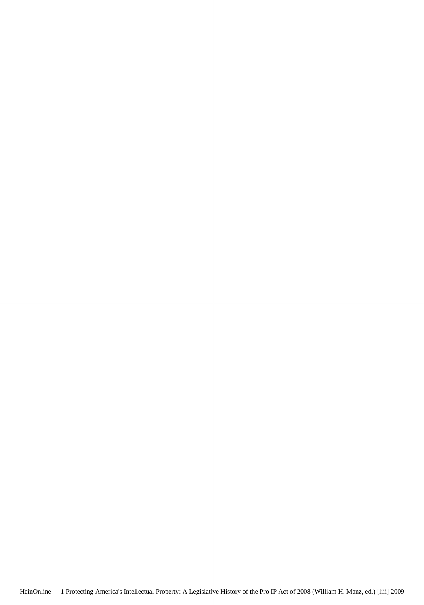HeinOnline -- 1 Protecting America's Intellectual Property: A Legislative History of the Pro IP Act of 2008 (William H. Manz, ed.) [liii] 2009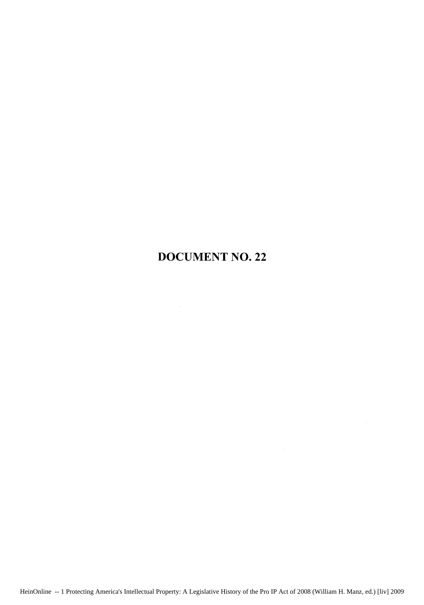## **DOCUMENT NO.** 22